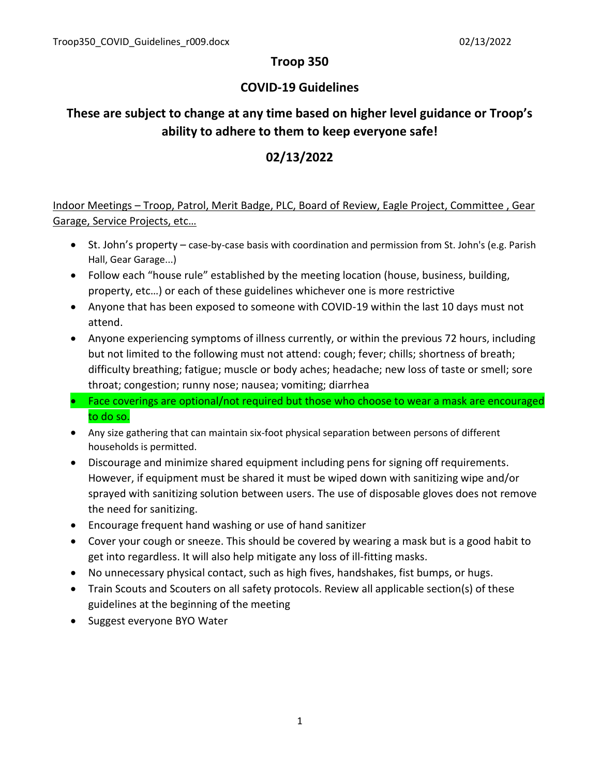### **Troop 350**

### **COVID-19 Guidelines**

# **These are subject to change at any time based on higher level guidance or Troop's ability to adhere to them to keep everyone safe!**

## **02/13/2022**

Indoor Meetings – Troop, Patrol, Merit Badge, PLC, Board of Review, Eagle Project, Committee , Gear Garage, Service Projects, etc…

- St. John's property case-by-case basis with coordination and permission from St. John's (e.g. Parish Hall, Gear Garage...)
- Follow each "house rule" established by the meeting location (house, business, building, property, etc…) or each of these guidelines whichever one is more restrictive
- Anyone that has been exposed to someone with COVID-19 within the last 10 days must not attend.
- Anyone experiencing symptoms of illness currently, or within the previous 72 hours, including but not limited to the following must not attend: cough; fever; chills; shortness of breath; difficulty breathing; fatigue; muscle or body aches; headache; new loss of taste or smell; sore throat; congestion; runny nose; nausea; vomiting; diarrhea
- Face coverings are optional/not required but those who choose to wear a mask are encouraged to do so.
- Any size gathering that can maintain six-foot physical separation between persons of different households is permitted.
- Discourage and minimize shared equipment including pens for signing off requirements. However, if equipment must be shared it must be wiped down with sanitizing wipe and/or sprayed with sanitizing solution between users. The use of disposable gloves does not remove the need for sanitizing.
- Encourage frequent hand washing or use of hand sanitizer
- Cover your cough or sneeze. This should be covered by wearing a mask but is a good habit to get into regardless. It will also help mitigate any loss of ill-fitting masks.
- No unnecessary physical contact, such as high fives, handshakes, fist bumps, or hugs.
- Train Scouts and Scouters on all safety protocols. Review all applicable section(s) of these guidelines at the beginning of the meeting
- Suggest everyone BYO Water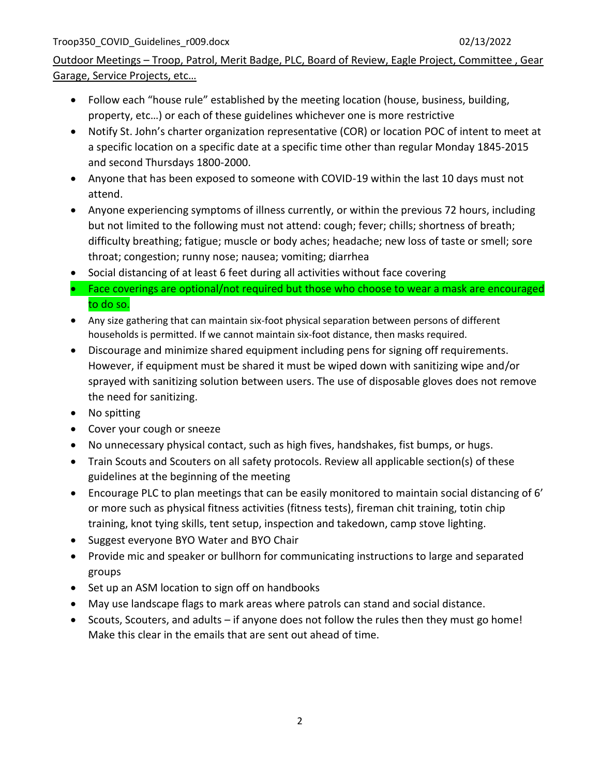## Outdoor Meetings – Troop, Patrol, Merit Badge, PLC, Board of Review, Eagle Project, Committee , Gear Garage, Service Projects, etc…

- Follow each "house rule" established by the meeting location (house, business, building, property, etc…) or each of these guidelines whichever one is more restrictive
- Notify St. John's charter organization representative (COR) or location POC of intent to meet at a specific location on a specific date at a specific time other than regular Monday 1845-2015 and second Thursdays 1800-2000.
- Anyone that has been exposed to someone with COVID-19 within the last 10 days must not attend.
- Anyone experiencing symptoms of illness currently, or within the previous 72 hours, including but not limited to the following must not attend: cough; fever; chills; shortness of breath; difficulty breathing; fatigue; muscle or body aches; headache; new loss of taste or smell; sore throat; congestion; runny nose; nausea; vomiting; diarrhea
- Social distancing of at least 6 feet during all activities without face covering
- Face coverings are optional/not required but those who choose to wear a mask are encouraged to do so.
- Any size gathering that can maintain six-foot physical separation between persons of different households is permitted. If we cannot maintain six-foot distance, then masks required.
- Discourage and minimize shared equipment including pens for signing off requirements. However, if equipment must be shared it must be wiped down with sanitizing wipe and/or sprayed with sanitizing solution between users. The use of disposable gloves does not remove the need for sanitizing.
- No spitting
- Cover your cough or sneeze
- No unnecessary physical contact, such as high fives, handshakes, fist bumps, or hugs.
- Train Scouts and Scouters on all safety protocols. Review all applicable section(s) of these guidelines at the beginning of the meeting
- Encourage PLC to plan meetings that can be easily monitored to maintain social distancing of 6' or more such as physical fitness activities (fitness tests), fireman chit training, totin chip training, knot tying skills, tent setup, inspection and takedown, camp stove lighting.
- Suggest everyone BYO Water and BYO Chair
- Provide mic and speaker or bullhorn for communicating instructions to large and separated groups
- Set up an ASM location to sign off on handbooks
- May use landscape flags to mark areas where patrols can stand and social distance.
- Scouts, Scouters, and adults if anyone does not follow the rules then they must go home! Make this clear in the emails that are sent out ahead of time.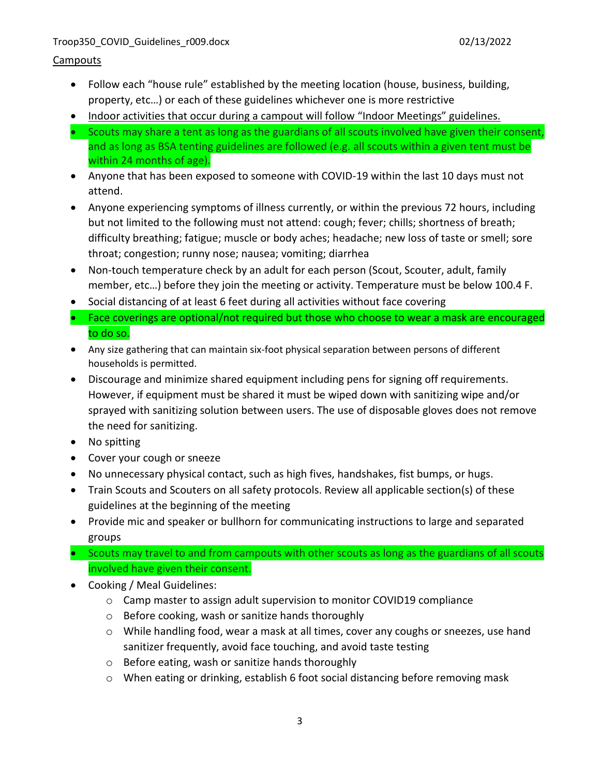#### Troop350\_COVID\_Guidelines\_r009.docx 02/13/2022

### **Campouts**

- Follow each "house rule" established by the meeting location (house, business, building, property, etc…) or each of these guidelines whichever one is more restrictive
- Indoor activities that occur during a campout will follow "Indoor Meetings" guidelines.
- Scouts may share a tent as long as the guardians of all scouts involved have given their consent, and as long as BSA tenting guidelines are followed (e.g. all scouts within a given tent must be within 24 months of age).
- Anyone that has been exposed to someone with COVID-19 within the last 10 days must not attend.
- Anyone experiencing symptoms of illness currently, or within the previous 72 hours, including but not limited to the following must not attend: cough; fever; chills; shortness of breath; difficulty breathing; fatigue; muscle or body aches; headache; new loss of taste or smell; sore throat; congestion; runny nose; nausea; vomiting; diarrhea
- Non-touch temperature check by an adult for each person (Scout, Scouter, adult, family member, etc…) before they join the meeting or activity. Temperature must be below 100.4 F.
- Social distancing of at least 6 feet during all activities without face covering
- Face coverings are optional/not required but those who choose to wear a mask are encouraged to do so.
- Any size gathering that can maintain six-foot physical separation between persons of different households is permitted.
- Discourage and minimize shared equipment including pens for signing off requirements. However, if equipment must be shared it must be wiped down with sanitizing wipe and/or sprayed with sanitizing solution between users. The use of disposable gloves does not remove the need for sanitizing.
- No spitting
- Cover your cough or sneeze
- No unnecessary physical contact, such as high fives, handshakes, fist bumps, or hugs.
- Train Scouts and Scouters on all safety protocols. Review all applicable section(s) of these guidelines at the beginning of the meeting
- Provide mic and speaker or bullhorn for communicating instructions to large and separated groups
- Scouts may travel to and from campouts with other scouts as long as the guardians of all scouts involved have given their consent.
- Cooking / Meal Guidelines:
	- $\circ$  Camp master to assign adult supervision to monitor COVID19 compliance
	- o Before cooking, wash or sanitize hands thoroughly
	- $\circ$  While handling food, wear a mask at all times, cover any coughs or sneezes, use hand sanitizer frequently, avoid face touching, and avoid taste testing
	- o Before eating, wash or sanitize hands thoroughly
	- o When eating or drinking, establish 6 foot social distancing before removing mask